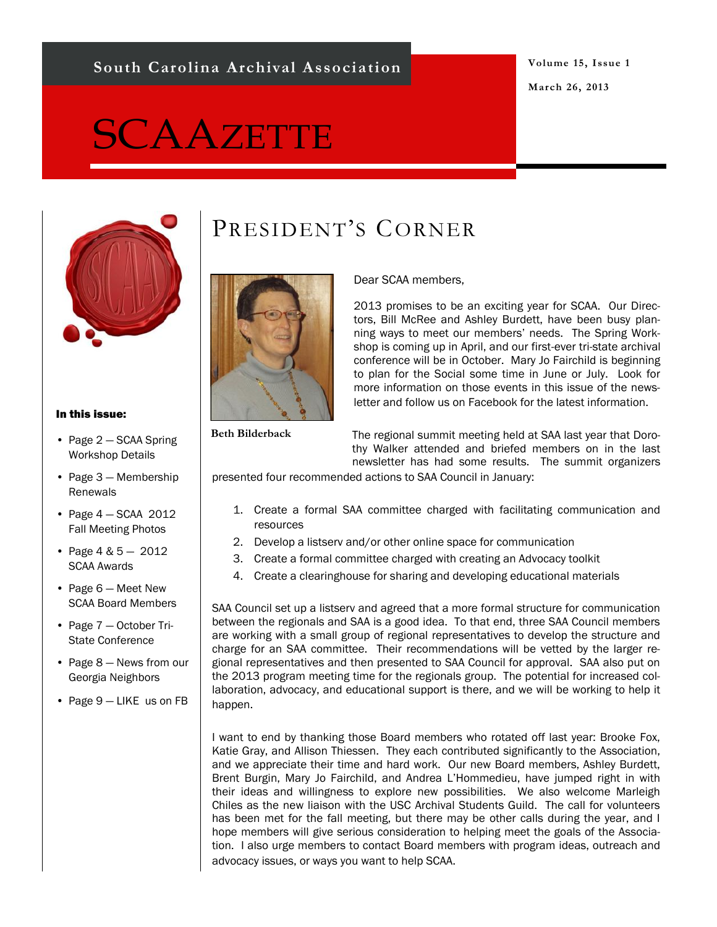### **South Carolina Archival Association**

#### **Volume 15, Issue 1 March 26, 2013**

# **SCAAZETTE**



#### In this issue:

- Page 2 SCAA Spring Workshop Details
- Page 3 Membership Renewals
- Page 4 SCAA 2012 Fall Meeting Photos
- Page 4 & 5 2012 SCAA Awards
- Page 6 Meet New SCAA Board Members
- Page 7 October Tri-State Conference
- Page 8 News from our Georgia Neighbors
- Page 9 LIKE us on FB

# PRESIDENT'S CORNER



Dear SCAA members,

2013 promises to be an exciting year for SCAA. Our Directors, Bill McRee and Ashley Burdett, have been busy planning ways to meet our members' needs. The Spring Workshop is coming up in April, and our first-ever tri-state archival conference will be in October. Mary Jo Fairchild is beginning to plan for the Social some time in June or July. Look for more information on those events in this issue of the newsletter and follow us on Facebook for the latest information.

**Beth Bilderback**

The regional summit meeting held at SAA last year that Dorothy Walker attended and briefed members on in the last newsletter has had some results. The summit organizers

presented four recommended actions to SAA Council in January:

- 1. Create a formal SAA committee charged with facilitating communication and resources
- 2. Develop a listserv and/or other online space for communication
- 3. Create a formal committee charged with creating an Advocacy toolkit
- 4. Create a clearinghouse for sharing and developing educational materials

SAA Council set up a listserv and agreed that a more formal structure for communication between the regionals and SAA is a good idea. To that end, three SAA Council members are working with a small group of regional representatives to develop the structure and charge for an SAA committee. Their recommendations will be vetted by the larger regional representatives and then presented to SAA Council for approval. SAA also put on the 2013 program meeting time for the regionals group. The potential for increased collaboration, advocacy, and educational support is there, and we will be working to help it happen.

I want to end by thanking those Board members who rotated off last year: Brooke Fox, Katie Gray, and Allison Thiessen. They each contributed significantly to the Association, and we appreciate their time and hard work. Our new Board members, Ashley Burdett, Brent Burgin, Mary Jo Fairchild, and Andrea L'Hommedieu, have jumped right in with their ideas and willingness to explore new possibilities. We also welcome Marleigh Chiles as the new liaison with the USC Archival Students Guild. The call for volunteers has been met for the fall meeting, but there may be other calls during the year, and I hope members will give serious consideration to helping meet the goals of the Association. I also urge members to contact Board members with program ideas, outreach and advocacy issues, or ways you want to help SCAA.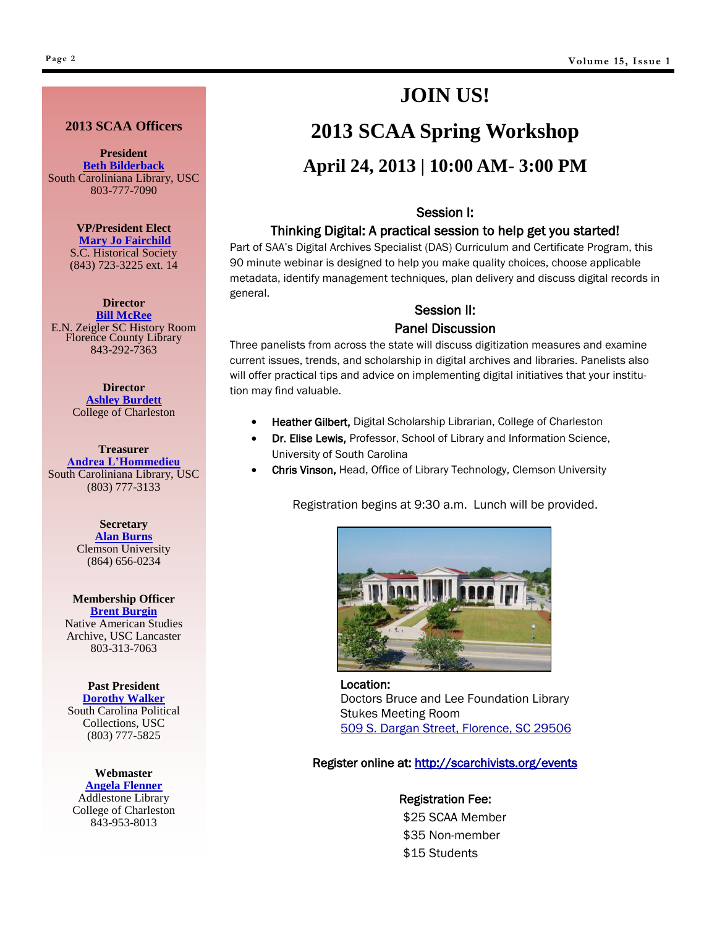#### **2013 SCAA Officers**

**President [Beth Bilderback](mailto:BILDERBK@mailbox.sc.edu)** South Caroliniana Library, USC 803-777-7090

> **VP/President Elect [Mary Jo Fairchild](mailto:maryjo.fairchild@schsonline.org)**

S.C. Historical Society (843) 723-3225 ext. 14

**Director [Bill McRee](mailto:bmcree@florencelibrary.org)** E.N. Zeigler SC History Room Florence County Library 843-292-7363

> **Director [Ashley Burdett](mailto:burdett_ashley@yahoo.com)** College of Charleston

**Treasurer [Andrea L'Hommedieu](mailto:ALHOMME@mailbox.sc.edu)** South Caroliniana Library, USC (803) 777-3133

> **Secretary [Alan Burns](mailto:ABURNS@clemson.edu)** Clemson University (864) 656-0234

**Membership Officer [Brent Burgin](mailto:membership@scarchivists.org)** Native American Studies Archive, USC Lancaster 803-313-7063

**Past President [Dorothy Walker](mailto:dhazelr@mailbox.sc.edu)** South Carolina Political

Collections, USC (803) 777-5825

**Webmaster [Angela Flenner](mailto:FlennerA@cofc.edu)** Addlestone Library College of Charleston 843-953-8013

## **JOIN US!**

# **2013 SCAA Spring Workshop**

### **April 24, 2013 | 10:00 AM- 3:00 PM**

#### Session I:

#### Thinking Digital: A practical session to help get you started!

Part of SAA's Digital Archives Specialist (DAS) Curriculum and Certificate Program, this 90 minute webinar is designed to help you make quality choices, choose applicable metadata, identify management techniques, plan delivery and discuss digital records in general.

### Session II:

#### Panel Discussion

Three panelists from across the state will discuss digitization measures and examine current issues, trends, and scholarship in digital archives and libraries. Panelists also will offer practical tips and advice on implementing digital initiatives that your institution may find valuable.

- Heather Gilbert, Digital Scholarship Librarian, College of Charleston
- Dr. Elise Lewis, Professor, School of Library and Information Science, University of South Carolina
- Chris Vinson, Head, Office of Library Technology, Clemson University

Registration begins at 9:30 a.m. Lunch will be provided.



Location: Doctors Bruce and Lee Foundation Library Stukes Meeting Room [509 S. Dargan Street, Florence, SC 29506](http://maps.google.com/maps?f=q&hl=en&geocode=&q=509+south+dargan+street,+florence,+sc&sll=33.817084,-79.447149&sspn=0.0105,0.022123&ie=UTF8&z=16&iwloc=addr&om=1)

#### Register online at: http://scarchivists.org/events

Registration Fee:

\$25 SCAA Member \$35 Non-member \$15 Students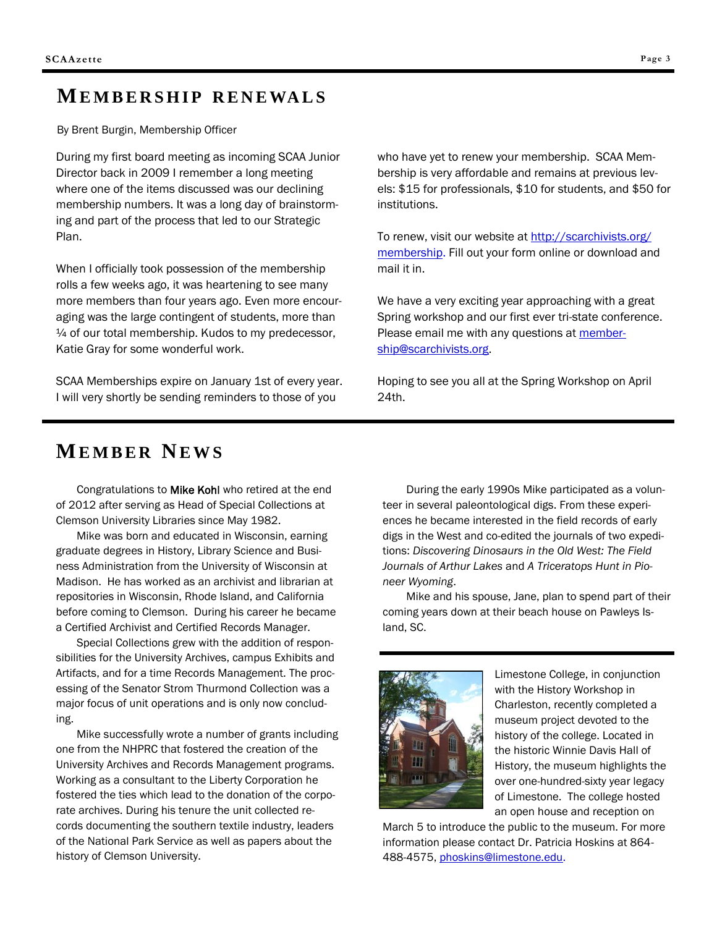### **MEMBERSHIP RENEWALS**

By Brent Burgin, Membership Officer

During my first board meeting as incoming SCAA Junior Director back in 2009 I remember a long meeting where one of the items discussed was our declining membership numbers. It was a long day of brainstorming and part of the process that led to our Strategic Plan.

When I officially took possession of the membership rolls a few weeks ago, it was heartening to see many more members than four years ago. Even more encouraging was the large contingent of students, more than  $\frac{1}{4}$  of our total membership. Kudos to my predecessor, Katie Gray for some wonderful work.

SCAA Memberships expire on January 1st of every year. I will very shortly be sending reminders to those of you

who have yet to renew your membership. SCAA Membership is very affordable and remains at previous levels: \$15 for professionals, \$10 for students, and \$50 for institutions.

To renew, visit our website at [http://scarchivists.org/](http://scarchivists.org/membership) [membership.](http://scarchivists.org/membership) Fill out your form online or download and mail it in.

We have a very exciting year approaching with a great Spring workshop and our first ever tri-state conference. Please email me with any questions at [member](mailto:membership@scarchivists.org)[ship@scarchivists.org.](mailto:membership@scarchivists.org)

Hoping to see you all at the Spring Workshop on April 24th.

### **ME M B E R NE W S**

Congratulations to Mike Kohl who retired at the end of 2012 after serving as Head of Special Collections at Clemson University Libraries since May 1982.

Mike was born and educated in Wisconsin, earning graduate degrees in History, Library Science and Business Administration from the University of Wisconsin at Madison. He has worked as an archivist and librarian at repositories in Wisconsin, Rhode Island, and California before coming to Clemson. During his career he became a Certified Archivist and Certified Records Manager.

Special Collections grew with the addition of responsibilities for the University Archives, campus Exhibits and Artifacts, and for a time Records Management. The processing of the Senator Strom Thurmond Collection was a major focus of unit operations and is only now concluding.

Mike successfully wrote a number of grants including one from the NHPRC that fostered the creation of the University Archives and Records Management programs. Working as a consultant to the Liberty Corporation he fostered the ties which lead to the donation of the corporate archives. During his tenure the unit collected records documenting the southern textile industry, leaders of the National Park Service as well as papers about the history of Clemson University.

During the early 1990s Mike participated as a volunteer in several paleontological digs. From these experiences he became interested in the field records of early digs in the West and co-edited the journals of two expeditions: *Discovering Dinosaurs in the Old West: The Field Journals of Arthur Lakes* and *A Triceratops Hunt in Pioneer Wyoming*.

Mike and his spouse, Jane, plan to spend part of their coming years down at their beach house on Pawleys Island, SC.



Limestone College, in conjunction with the History Workshop in Charleston, recently completed a museum project devoted to the history of the college. Located in the historic Winnie Davis Hall of History, the museum highlights the over one-hundred-sixty year legacy of Limestone. The college hosted an open house and reception on

March 5 to introduce the public to the museum. For more information please contact Dr. Patricia Hoskins at 864- 488-4575, [phoskins@limestone.edu.](mailto:phoskins@limestone.edu)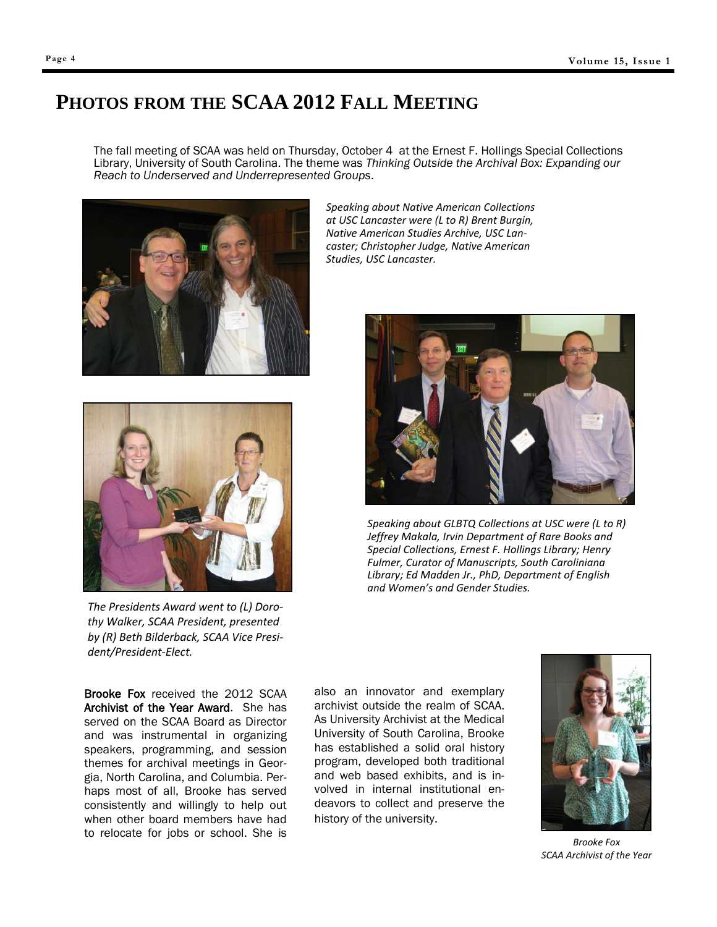### **PHOTOS FROM THE SCAA 2012 FALL MEETING**

The fall meeting of SCAA was held on Thursday, October 4 at the Ernest F. Hollings Special Collections Library, University of South Carolina. The theme was *Thinking Outside the Archival Box: Expanding our Reach to Underserved and Underrepresented Groups*.





*The Presidents Award went to (L) Dorothy Walker, SCAA President, presented by (R) Beth Bilderback, SCAA Vice President/President-Elect.*

Brooke Fox received the 2012 SCAA Archivist of the Year Award. She has served on the SCAA Board as Director and was instrumental in organizing speakers, programming, and session themes for archival meetings in Georgia, North Carolina, and Columbia. Perhaps most of all, Brooke has served consistently and willingly to help out when other board members have had to relocate for jobs or school. She is

*Speaking about Native American Collections at USC Lancaster were (L to R) Brent Burgin, Native American Studies Archive, USC Lancaster; Christopher Judge, Native American Studies, USC Lancaster.*



*Speaking about GLBTQ Collections at USC were (L to R) Jeffrey Makala, Irvin Department of Rare Books and Special Collections, Ernest F. Hollings Library; Henry Fulmer, Curator of Manuscripts, South Caroliniana Library; Ed Madden Jr., PhD, Department of English and Women's and Gender Studies.*

also an innovator and exemplary archivist outside the realm of SCAA. As University Archivist at the Medical University of South Carolina, Brooke has established a solid oral history program, developed both traditional and web based exhibits, and is involved in internal institutional endeavors to collect and preserve the history of the university.



*Brooke Fox SCAA Archivist of the Year*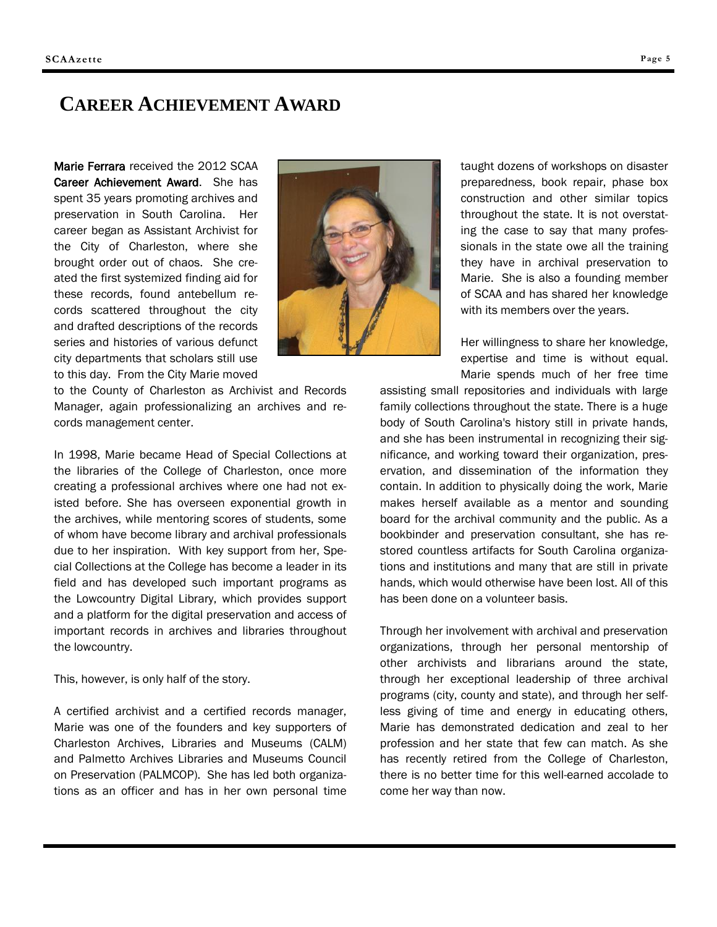### **CAREER ACHIEVEMENT AWARD**

Marie Ferrara received the 2012 SCAA Career Achievement Award. She has spent 35 years promoting archives and preservation in South Carolina. Her career began as Assistant Archivist for the City of Charleston, where she brought order out of chaos. She created the first systemized finding aid for these records, found antebellum records scattered throughout the city and drafted descriptions of the records series and histories of various defunct city departments that scholars still use to this day. From the City Marie moved



to the County of Charleston as Archivist and Records Manager, again professionalizing an archives and records management center.

In 1998, Marie became Head of Special Collections at the libraries of the College of Charleston, once more creating a professional archives where one had not existed before. She has overseen exponential growth in the archives, while mentoring scores of students, some of whom have become library and archival professionals due to her inspiration. With key support from her, Special Collections at the College has become a leader in its field and has developed such important programs as the Lowcountry Digital Library, which provides support and a platform for the digital preservation and access of important records in archives and libraries throughout the lowcountry.

This, however, is only half of the story.

A certified archivist and a certified records manager, Marie was one of the founders and key supporters of Charleston Archives, Libraries and Museums (CALM) and Palmetto Archives Libraries and Museums Council on Preservation (PALMCOP). She has led both organizations as an officer and has in her own personal time taught dozens of workshops on disaster preparedness, book repair, phase box construction and other similar topics throughout the state. It is not overstating the case to say that many professionals in the state owe all the training they have in archival preservation to Marie. She is also a founding member of SCAA and has shared her knowledge with its members over the years.

Her willingness to share her knowledge, expertise and time is without equal. Marie spends much of her free time

assisting small repositories and individuals with large family collections throughout the state. There is a huge body of South Carolina's history still in private hands, and she has been instrumental in recognizing their significance, and working toward their organization, preservation, and dissemination of the information they contain. In addition to physically doing the work, Marie makes herself available as a mentor and sounding board for the archival community and the public. As a bookbinder and preservation consultant, she has restored countless artifacts for South Carolina organizations and institutions and many that are still in private hands, which would otherwise have been lost. All of this has been done on a volunteer basis.

Through her involvement with archival and preservation organizations, through her personal mentorship of other archivists and librarians around the state, through her exceptional leadership of three archival programs (city, county and state), and through her selfless giving of time and energy in educating others, Marie has demonstrated dedication and zeal to her profession and her state that few can match. As she has recently retired from the College of Charleston, there is no better time for this well-earned accolade to come her way than now.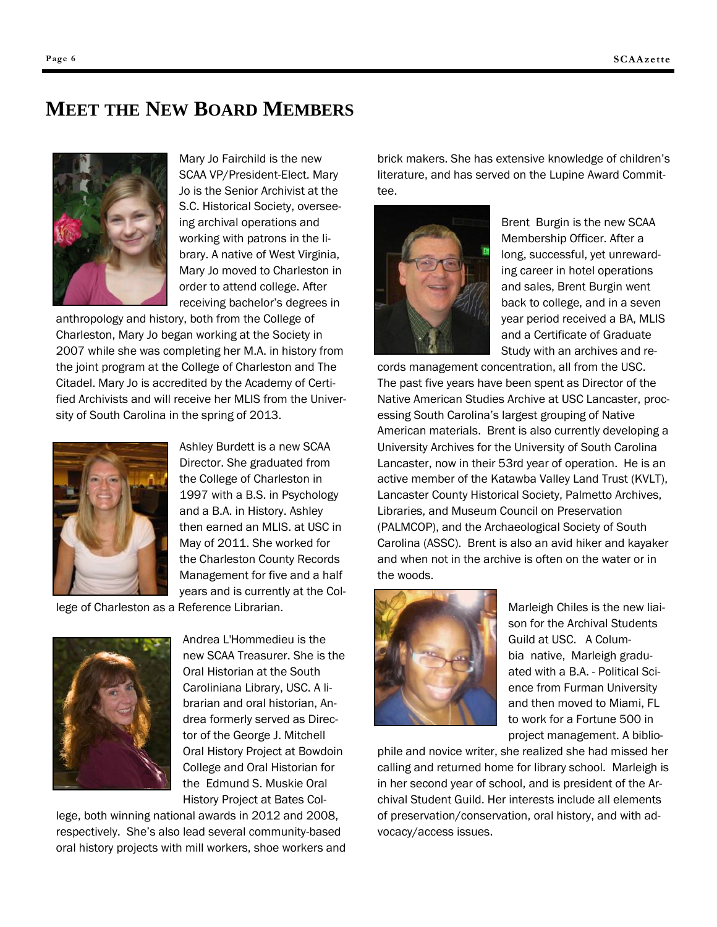### **MEET THE NEW BOARD MEMBERS**

Mary Jo Fairchild is the new SCAA VP/President-Elect. Mary Jo is the Senior Archivist at the S.C. Historical Society, overseeing archival operations and working with patrons in the library. A native of West Virginia, Mary Jo moved to Charleston in order to attend college. After receiving bachelor's degrees in

anthropology and history, both from the College of Charleston, Mary Jo began working at the Society in 2007 while she was completing her M.A. in history from the joint program at the College of Charleston and The Citadel. Mary Jo is accredited by the Academy of Certified Archivists and will receive her MLIS from the University of South Carolina in the spring of 2013.



Ashley Burdett is a new SCAA Director. She graduated from the College of Charleston in 1997 with a B.S. in Psychology and a B.A. in History. Ashley then earned an MLIS. at USC in May of 2011. She worked for the Charleston County Records Management for five and a half years and is currently at the Col-

lege of Charleston as a Reference Librarian.



Andrea L'Hommedieu is the new SCAA Treasurer. She is the Oral Historian at the South Caroliniana Library, USC. A librarian and oral historian, Andrea formerly served as Director of the George J. Mitchell Oral History Project at Bowdoin College and Oral Historian for the Edmund S. Muskie Oral History Project at Bates Col-

lege, both winning national awards in 2012 and 2008, respectively. She's also lead several community-based oral history projects with mill workers, shoe workers and

brick makers. She has extensive knowledge of children's literature, and has served on the Lupine Award Committee.



Brent Burgin is the new SCAA Membership Officer. After a long, successful, yet unrewarding career in hotel operations and sales, Brent Burgin went back to college, and in a seven year period received a BA, MLIS and a Certificate of Graduate Study with an archives and re-

cords management concentration, all from the USC. The past five years have been spent as Director of the Native American Studies Archive at USC Lancaster, processing South Carolina's largest grouping of Native American materials. Brent is also currently developing a University Archives for the University of South Carolina Lancaster, now in their 53rd year of operation. He is an active member of the Katawba Valley Land Trust (KVLT), Lancaster County Historical Society, Palmetto Archives, Libraries, and Museum Council on Preservation (PALMCOP), and the Archaeological Society of South Carolina (ASSC). Brent is also an avid hiker and kayaker and when not in the archive is often on the water or in the woods.



Marleigh Chiles is the new liaison for the Archival Students Guild at USC. A Columbia native, Marleigh graduated with a B.A. - Political Science from Furman University and then moved to Miami, FL to work for a Fortune 500 in project management. A biblio-

phile and novice writer, she realized she had missed her calling and returned home for library school. Marleigh is in her second year of school, and is president of the Archival Student Guild. Her interests include all elements of preservation/conservation, oral history, and with advocacy/access issues.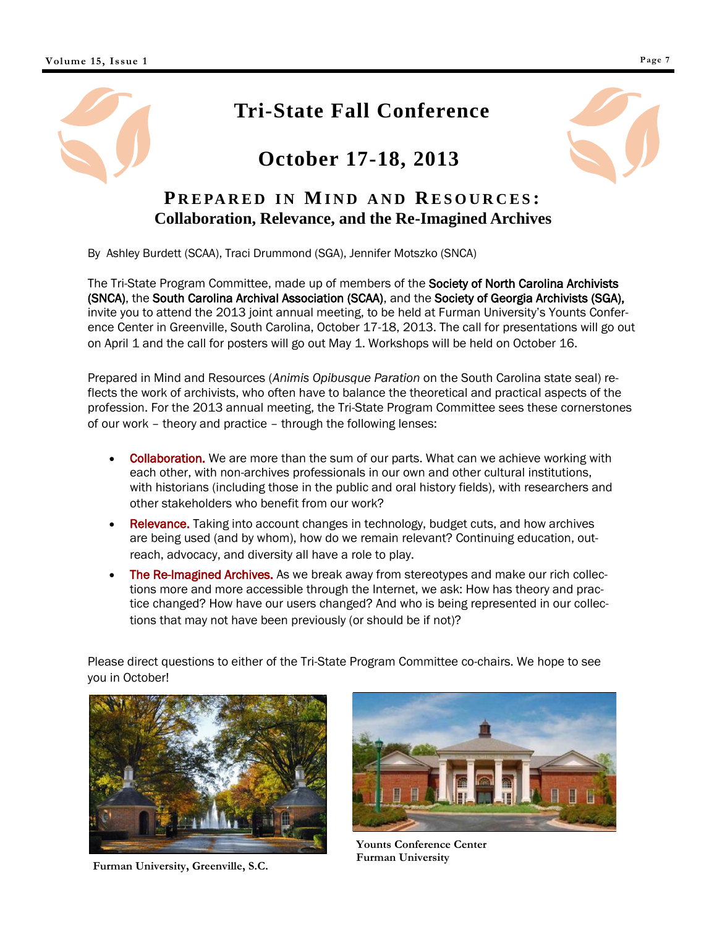### **Tri-State Fall Conference**

### **October 17-18, 2013**



### **PREPARED IN MIND AND RESOURCES: Collaboration, Relevance, and the Re-Imagined Archives**

By Ashley Burdett (SCAA), Traci Drummond (SGA), Jennifer Motszko (SNCA)

The Tri-State Program Committee, made up of members of the Society of North Carolina Archivists (SNCA), the South Carolina Archival Association (SCAA), and the Society of Georgia Archivists (SGA), invite you to attend the 2013 joint annual meeting, to be held at Furman University's Younts Conference Center in Greenville, South Carolina, October 17-18, 2013. The call for presentations will go out on April 1 and the call for posters will go out May 1. Workshops will be held on October 16.

Prepared in Mind and Resources (*Animis Opibusque Paration* on the South Carolina state seal) reflects the work of archivists, who often have to balance the theoretical and practical aspects of the profession. For the 2013 annual meeting, the Tri-State Program Committee sees these cornerstones of our work – theory and practice – through the following lenses:

- Collaboration. We are more than the sum of our parts. What can we achieve working with each other, with non-archives professionals in our own and other cultural institutions, with historians (including those in the public and oral history fields), with researchers and other stakeholders who benefit from our work?
- Relevance. Taking into account changes in technology, budget cuts, and how archives are being used (and by whom), how do we remain relevant? Continuing education, outreach, advocacy, and diversity all have a role to play.
- The Re-Imagined Archives. As we break away from stereotypes and make our rich collections more and more accessible through the Internet, we ask: How has theory and practice changed? How have our users changed? And who is being represented in our collections that may not have been previously (or should be if not)?

Please direct questions to either of the Tri-State Program Committee co-chairs. We hope to see you in October!



**Furman University, Greenville, S.C.**



**Younts Conference Center Furman University**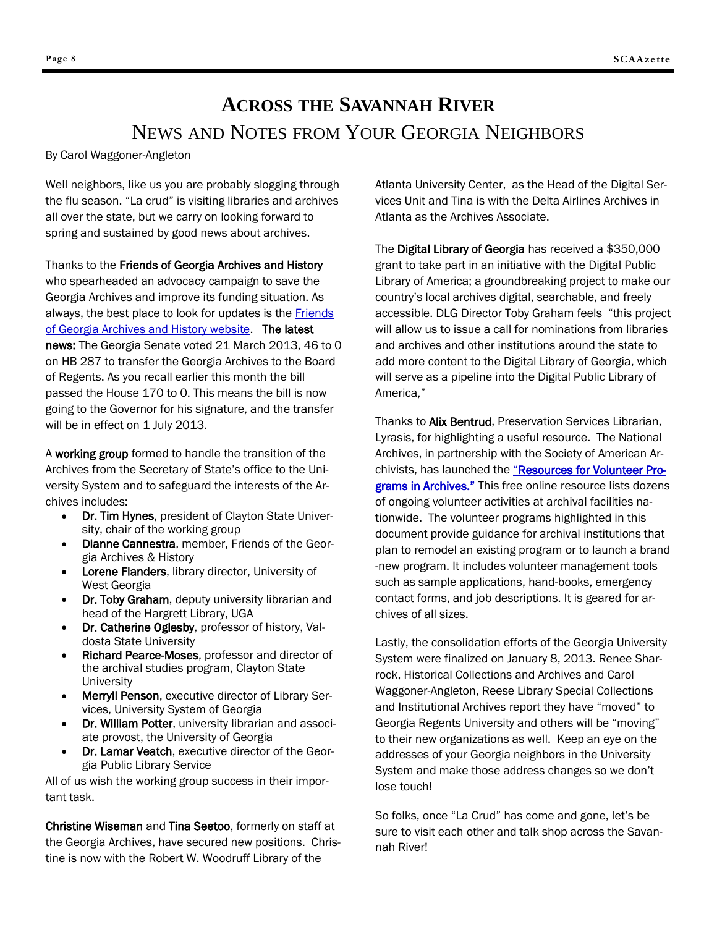### **ACROSS THE SAVANNAH RIVER** NEWS AND NOTES FROM YOUR GEORGIA NEIGHBORS

By Carol Waggoner-Angleton

Well neighbors, like us you are probably slogging through the flu season. "La crud" is visiting libraries and archives all over the state, but we carry on looking forward to spring and sustained by good news about archives.

Thanks to the Friends of Georgia Archives and History who spearheaded an advocacy campaign to save the Georgia Archives and improve its funding situation. As always, the best place to look for updates is the **Friends** [of Georgia Archives and History website.](http://www.fogah.org/) The latest news: The Georgia Senate voted 21 March 2013, 46 to 0 on HB 287 to transfer the Georgia Archives to the Board of Regents. As you recall earlier this month the bill passed the House 170 to 0. This means the bill is now going to the Governor for his signature, and the transfer will be in effect on 1 July 2013.

A working group formed to handle the transition of the Archives from the Secretary of State's office to the University System and to safeguard the interests of the Archives includes:

- Dr. Tim Hynes, president of Clayton State University, chair of the working group
- Dianne Cannestra, member, Friends of the Georgia Archives & History
- Lorene Flanders, library director, University of West Georgia
- Dr. Toby Graham, deputy university librarian and head of the Hargrett Library, UGA
- Dr. Catherine Oglesby, professor of history, Valdosta State University
- Richard Pearce-Moses, professor and director of the archival studies program, Clayton State **University**
- Merryll Penson, executive director of Library Services, University System of Georgia
- Dr. William Potter, university librarian and associate provost, the University of Georgia
- Dr. Lamar Veatch, executive director of the Georgia Public Library Service

All of us wish the working group success in their important task.

Christine Wiseman and Tina Seetoo, formerly on staff at the Georgia Archives, have secured new positions. Christine is now with the Robert W. Woodruff Library of the

Atlanta University Center, as the Head of the Digital Services Unit and Tina is with the Delta Airlines Archives in Atlanta as the Archives Associate.

The Digital Library of Georgia has received a \$350,000 grant to take part in an initiative with the Digital Public Library of America; a groundbreaking project to make our country's local archives digital, searchable, and freely accessible. DLG Director Toby Graham feels "this project will allow us to issue a call for nominations from libraries and archives and other institutions around the state to add more content to the Digital Library of Georgia, which will serve as a pipeline into the Digital Public Library of America,"

Thanks to Alix Bentrud, Preservation Services Librarian, Lyrasis, for highlighting a useful resource. The National Archives, in partnership with the Society of American Ar-chivists, has launched the "[Resources for Volunteer Pro](http://www2.archivists.org/sites/all/files/Resources-for-Volunteers_Final.pdf)[grams in Archives."](http://www2.archivists.org/sites/all/files/Resources-for-Volunteers_Final.pdf) This free online resource lists dozens of ongoing volunteer activities at archival facilities nationwide. The volunteer programs highlighted in this document provide guidance for archival institutions that plan to remodel an existing program or to launch a brand -new program. It includes volunteer management tools such as sample applications, hand-books, emergency contact forms, and job descriptions. It is geared for archives of all sizes.

Lastly, the consolidation efforts of the Georgia University System were finalized on January 8, 2013. Renee Sharrock, Historical Collections and Archives and Carol Waggoner-Angleton, Reese Library Special Collections and Institutional Archives report they have "moved" to Georgia Regents University and others will be "moving" to their new organizations as well. Keep an eye on the addresses of your Georgia neighbors in the University System and make those address changes so we don't lose touch!

So folks, once "La Crud" has come and gone, let's be sure to visit each other and talk shop across the Savannah River!